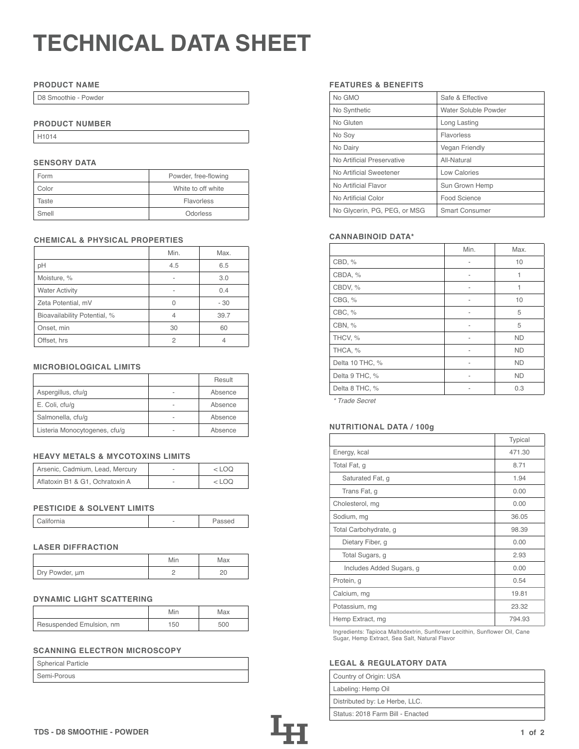# **TECHNICAL DATA SHEET**

## **PRODUCT NAME**

D8 Smoothie - Powder

## **PRODUCT NUMBER**

H1014

## **SENSORY DATA**

| Form  | Powder, free-flowing |  |
|-------|----------------------|--|
| Color | White to off white   |  |
| Taste | Flavorless           |  |
| Smell | Odorless             |  |

## **CHEMICAL & PHYSICAL PROPERTIES**

|                              | Min. | Max. |
|------------------------------|------|------|
| pH                           | 4.5  | 6.5  |
| Moisture, %                  |      | 3.0  |
| <b>Water Activity</b>        |      | 0.4  |
| Zeta Potential, mV           |      | - 30 |
| Bioavailability Potential, % | ⊿    | 39.7 |
| Onset, min                   | 30   | 60   |
| Offset, hrs                  | 2    |      |

## **MICROBIOLOGICAL LIMITS**

|                               |   | Result  |
|-------------------------------|---|---------|
| Aspergillus, cfu/g            |   | Absence |
| E. Coli, cfu/g                | - | Absence |
| Salmonella, cfu/g             |   | Absence |
| Listeria Monocytogenes, cfu/g |   | Absence |

## **HEAVY METALS & MYCOTOXINS LIMITS**

| Arsenic, Cadmium, Lead, Mercury | $<$ LOO |
|---------------------------------|---------|
| Aflatoxin B1 & G1, Ochratoxin A | <100    |

#### **PESTICIDE & SOLVENT LIMITS**

| California |  | Passed |
|------------|--|--------|
|------------|--|--------|

## **LASER DIFFRACTION**

|                | Min | Max |
|----------------|-----|-----|
| Dry Powder, um |     |     |

## **DYNAMIC LIGHT SCATTERING**

|                          | Min | Max |
|--------------------------|-----|-----|
| Resuspended Emulsion, nm | 150 | 500 |

# **SCANNING ELECTRON MICROSCOPY**

| Spherical Particle |  |
|--------------------|--|
| Semi-Porous        |  |

## **FEATURES & BENEFITS**

| No GMO                       | Safe & Effective      |
|------------------------------|-----------------------|
| No Synthetic                 | Water Soluble Powder  |
| No Gluten                    | Long Lasting          |
| No Soy                       | Flavorless            |
| No Dairy                     | <b>Vegan Friendly</b> |
| No Artificial Preservative   | All-Natural           |
| No Artificial Sweetener      | Low Calories          |
| No Artificial Flavor         | Sun Grown Hemp        |
| No Artificial Color          | Food Science          |
| No Glycerin, PG, PEG, or MSG | <b>Smart Consumer</b> |

## **CANNABINOID DATA\***

|                 | Min. | Max.      |
|-----------------|------|-----------|
| CBD, %          | ۰    | 10        |
| CBDA, %         |      | 1         |
| CBDV, %         |      | 1         |
| CBG, %          |      | 10        |
| CBC, %          |      | 5         |
| CBN, %          | ۰    | 5         |
| THCV, %         | ۰    | <b>ND</b> |
| THCA, %         |      | <b>ND</b> |
| Delta 10 THC, % |      | <b>ND</b> |
| Delta 9 THC, %  | ۰    | <b>ND</b> |
| Delta 8 THC, %  |      | 0.3       |
|                 |      |           |

*\* Trade Secret*

## Listeria Monocytogenes, cfu/g - Absence **NUTRITIONAL DATA / 100g**

|                          | Typical |
|--------------------------|---------|
| Energy, kcal             | 471.30  |
| Total Fat, g             | 8.71    |
| Saturated Fat, g         | 1.94    |
| Trans Fat, g             | 0.00    |
| Cholesterol, mg          | 0.00    |
| Sodium, mg               | 36.05   |
| Total Carbohydrate, g    | 98.39   |
| Dietary Fiber, g         | 0.00    |
| Total Sugars, g          | 2.93    |
| Includes Added Sugars, g | 0.00    |
| Protein, g               | 0.54    |
| Calcium, mg              | 19.81   |
| Potassium, mg            | 23.32   |
| Hemp Extract, mg         | 794.93  |

Ingredients: Tapioca Maltodextrin, Sunflower Lecithin, Sunflower Oil, Cane Sugar, Hemp Extract, Sea Salt, Natural Flavor

## **LEGAL & REGULATORY DATA**

| Country of Origin: USA           |
|----------------------------------|
| Labeling: Hemp Oil               |
| Distributed by: Le Herbe, LLC.   |
| Status: 2018 Farm Bill - Enacted |